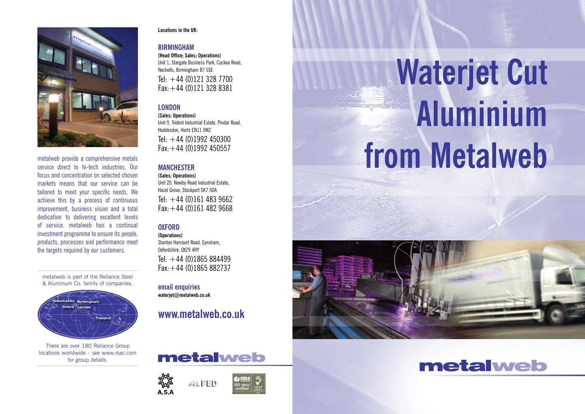

metalweb provide a comprehensive metals service direct to hi-tech industries. Our focus and concentration on selected chosen markets means that our service can be tailored to meet your specific needs. We achieve this by a process of continuous improvement, business vision and a total dedication to delivering excellent levels of service. metalweb has a continual investment programme to ensure its people, products, processes and performance meet the targets required by our customers.

metalweb is part of the Reliance Steel & Aluminum Co. family of companies.



There are over 180 Reliance Group locations worldwide – see www.rsac.com for group details.

#### **Locations in the UK:**

#### **Birmingham**

**(Head Office; Sales; Operations)** Unit 1, Stargate Business Park, Cuckoo Road, Nechells, Birmingham B7 5SE Tel:  $+44(0)1213287700$ Fax:+44 (0)121 328 8381

#### **London**

**(Sales; Operations)** Unit 9, Trident Industrial Estate, Pindar Road, Hoddesdon, Herts EN11 0WZ Tel:  $+44$  (0)1992 450300 Fax:+44 (0)1992 450557

#### **Manchester**

**(Sales; Operations)** Unit 20, Newby Road Industrial Estate, Hazel Grove, Stockport SK7 5DA Tel:  $+44(0)1614839662$ Fax:+44 (0)161 482 9668

#### **OXFORD**

**(Operations)** Stanton Harcourt Road, Eynsham, Oxfordshire, OX29 4HY Tel:  $+44$  (0)1865 884499 Fax:+44 (0)1865 882737

**email enquiries waterjet@metalweb.co.uk**

**www.metalweb.co.uk**